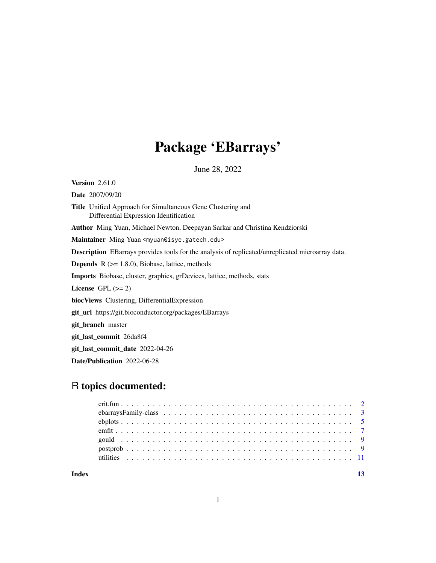# Package 'EBarrays'

June 28, 2022

<span id="page-0-0"></span>Version 2.61.0 Date 2007/09/20 Title Unified Approach for Simultaneous Gene Clustering and Differential Expression Identification Author Ming Yuan, Michael Newton, Deepayan Sarkar and Christina Kendziorski Maintainer Ming Yuan <myuan@isye.gatech.edu> Description EBarrays provides tools for the analysis of replicated/unreplicated microarray data. **Depends**  $R$  ( $>= 1.8.0$ ), Biobase, lattice, methods Imports Biobase, cluster, graphics, grDevices, lattice, methods, stats License GPL  $(>= 2)$ biocViews Clustering, DifferentialExpression git\_url https://git.bioconductor.org/packages/EBarrays git\_branch master git\_last\_commit 26da8f4 git\_last\_commit\_date 2022-04-26 Date/Publication 2022-06-28

# R topics documented:

| Index |  |  |  |  |  |  |  |  |  |  |  |  |  |  |  |  |  | 13 |
|-------|--|--|--|--|--|--|--|--|--|--|--|--|--|--|--|--|--|----|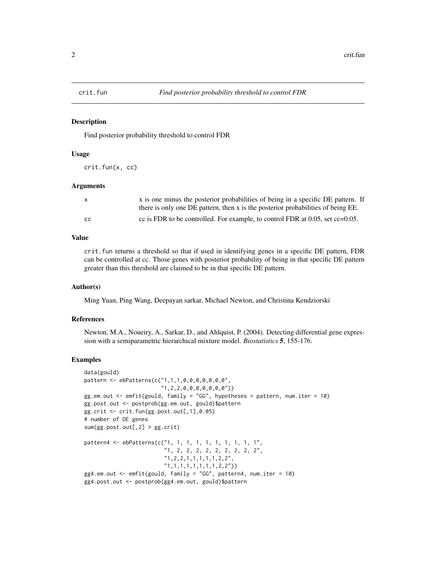<span id="page-1-0"></span>

#### **Description**

Find posterior probability threshold to control FDR

#### Usage

crit.fun(x, cc)

### Arguments

| X.  | x is one minus the posterior probabilities of being in a specific DE pattern. If |
|-----|----------------------------------------------------------------------------------|
|     | there is only one DE pattern, then x is the posterior probabilities of being EE. |
| CC. | cc is FDR to be controlled. For example, to control FDR at 0.05, set $cc=0.05$ . |

#### Value

crit.fun returns a threshold so that if used in identifying genes in a specific DE pattern, FDR can be controlled at cc. Those genes with posterior probability of being in that specific DE pattern greater than this threshold are claimed to be in that specific DE pattern.

#### Author(s)

Ming Yuan, Ping Wang, Deepayan sarkar, Michael Newton, and Christina Kendziorski

# References

Newton, M.A., Noueiry, A., Sarkar, D., and Ahlquist, P. (2004). Detecting differential gene expression with a semiparametric hierarchical mixture model. *Biostatistics* 5, 155-176.

#### Examples

```
data(gould)
pattern <- ebPatterns(c("1,1,1,0,0,0,0,0,0,0",
                        "1,2,2,0,0,0,0,0,0,0"))
gg.em.out \leq emfit(gould, family = "GG", hypotheses = pattern, num.iter = 10)
gg.post.out <- postprob(gg.em.out, gould)$pattern
gg.crit <- crit.fun(gg.post.out[,1],0.05)
# number of DE genes
sum(gg.post.out[,2] > gg.crit)
pattern4 <- ebPatterns(c("1, 1, 1, 1, 1, 1, 1, 1, 1, 1",
                         "1, 2, 2, 2, 2, 2, 2, 2, 2, 2",
                         "1,2,2,1,1,1,1,1,2,2",
                         "1,1,1,1,1,1,1,1,2,2"))
gg4.em.out \leq emfit(gould, family = "GG", pattern4, num.iter = 10)
gg4.post.out <- postprob(gg4.em.out, gould)$pattern
```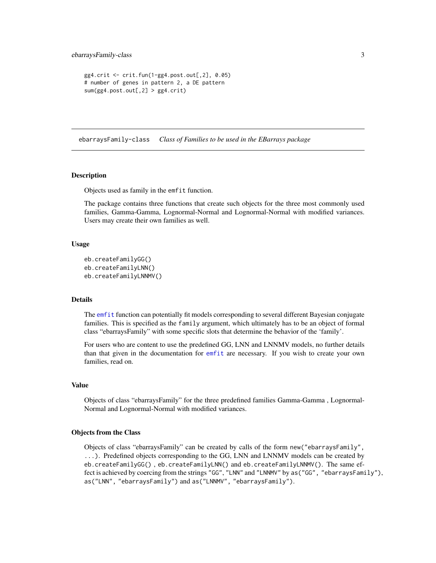```
gg4.crit <- crit.fun(1-gg4.post.out[,2], 0.05)
# number of genes in pattern 2, a DE pattern
sum(gg4.post.out[, 2] > gg4.crit)
```
<span id="page-2-1"></span>ebarraysFamily-class *Class of Families to be used in the EBarrays package*

#### Description

Objects used as family in the emfit function.

The package contains three functions that create such objects for the three most commonly used families, Gamma-Gamma, Lognormal-Normal and Lognormal-Normal with modified variances. Users may create their own families as well.

#### Usage

```
eb.createFamilyGG()
eb.createFamilyLNN()
eb.createFamilyLNNMV()
```
#### Details

The [emfit](#page-6-1) function can potentially fit models corresponding to several different Bayesian conjugate families. This is specified as the family argument, which ultimately has to be an object of formal class "ebarraysFamily" with some specific slots that determine the behavior of the 'family'.

For users who are content to use the predefined GG, LNN and LNNMV models, no further details than that given in the documentation for [emfit](#page-6-1) are necessary. If you wish to create your own families, read on.

#### Value

Objects of class "ebarraysFamily" for the three predefined families Gamma-Gamma , Lognormal-Normal and Lognormal-Normal with modified variances.

# Objects from the Class

Objects of class "ebarraysFamily" can be created by calls of the form new("ebarraysFamily", ...). Predefined objects corresponding to the GG, LNN and LNNMV models can be created by eb.createFamilyGG() , eb.createFamilyLNN() and eb.createFamilyLNNMV(). The same effect is achieved by coercing from the strings "GG", "LNN" and "LNNMV" by as("GG", "ebarraysFamily"), as("LNN", "ebarraysFamily") and as("LNNMV", "ebarraysFamily").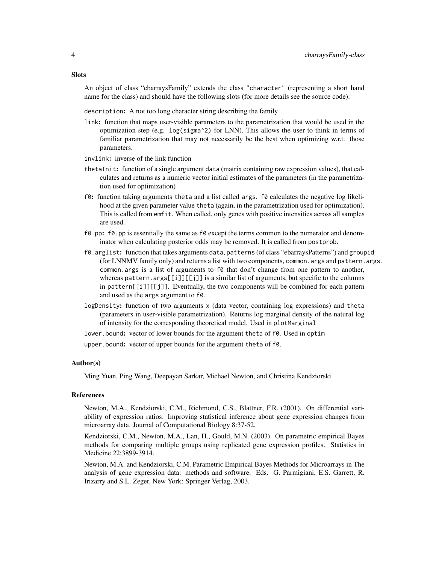An object of class "ebarraysFamily" extends the class "character" (representing a short hand name for the class) and should have the following slots (for more details see the source code):

description: A not too long character string describing the family

- link: function that maps user-visible parameters to the parametrization that would be used in the optimization step (e.g. log(sigma^2) for LNN). This allows the user to think in terms of familiar parametrization that may not necessarily be the best when optimizing w.r.t. those parameters.
- invlink: inverse of the link function
- thetaInit: function of a single argument data (matrix containing raw expression values), that calculates and returns as a numeric vector initial estimates of the parameters (in the parametrization used for optimization)
- f0: function taking arguments theta and a list called args. f0 calculates the negative log likelihood at the given parameter value theta (again, in the parametrization used for optimization). This is called from emfit. When called, only genes with positive intensities across all samples are used.
- $f0.$  pp:  $f0.$  pp is essentially the same as  $f0$  except the terms common to the numerator and denominator when calculating posterior odds may be removed. It is called from postprob.
- f0.arglist: function that takes arguments data, patterns (of class "ebarraysPatterns") and groupid (for LNNMV family only) and returns a list with two components, common.args and pattern.args. common.args is a list of arguments to f0 that don't change from one pattern to another, whereas pattern.  $args[[i]][[j]]$  is a similar list of arguments, but specific to the columns in pattern[[i]][[j]]. Eventually, the two components will be combined for each pattern and used as the args argument to f0.
- logDensity: function of two arguments x (data vector, containing log expressions) and theta (parameters in user-visible parametrization). Returns log marginal density of the natural log of intensity for the corresponding theoretical model. Used in plotMarginal

lower.bound: vector of lower bounds for the argument theta of f0. Used in optim

upper.bound: vector of upper bounds for the argument theta of f0.

# Author(s)

Ming Yuan, Ping Wang, Deepayan Sarkar, Michael Newton, and Christina Kendziorski

# References

Newton, M.A., Kendziorski, C.M., Richmond, C.S., Blattner, F.R. (2001). On differential variability of expression ratios: Improving statistical inference about gene expression changes from microarray data. Journal of Computational Biology 8:37-52.

Kendziorski, C.M., Newton, M.A., Lan, H., Gould, M.N. (2003). On parametric empirical Bayes methods for comparing multiple groups using replicated gene expression profiles. Statistics in Medicine 22:3899-3914.

Newton, M.A. and Kendziorski, C.M. Parametric Empirical Bayes Methods for Microarrays in The analysis of gene expression data: methods and software. Eds. G. Parmigiani, E.S. Garrett, R. Irizarry and S.L. Zeger, New York: Springer Verlag, 2003.

#### **Slots**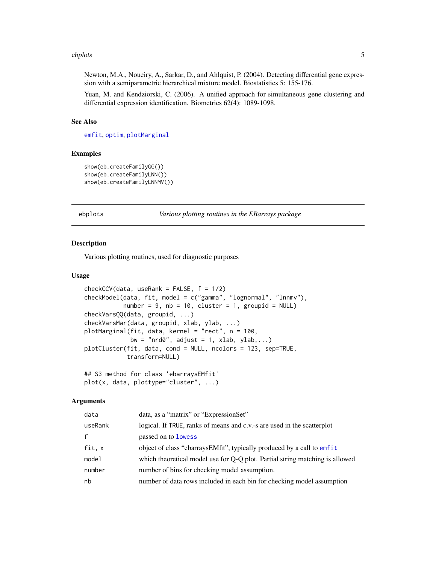#### <span id="page-4-0"></span>ebplots 5

Newton, M.A., Noueiry, A., Sarkar, D., and Ahlquist, P. (2004). Detecting differential gene expression with a semiparametric hierarchical mixture model. Biostatistics 5: 155-176.

Yuan, M. and Kendziorski, C. (2006). A unified approach for simultaneous gene clustering and differential expression identification. Biometrics 62(4): 1089-1098.

#### See Also

[emfit](#page-6-1), [optim](#page-0-0), [plotMarginal](#page-4-1)

#### Examples

```
show(eb.createFamilyGG())
show(eb.createFamilyLNN())
show(eb.createFamilyLNNMV())
```
ebplots *Various plotting routines in the EBarrays package*

#### <span id="page-4-1"></span>Description

Various plotting routines, used for diagnostic purposes

#### Usage

```
checkCCV(data, useRank = FALSE, f = 1/2)checkModel(data, fit, model = c("gamma", "lognormal", "lnnmv"),
           number = 9, nb = 10, cluster = 1, groupid = NULL)
checkVarsQQ(data, groupid, ...)
checkVarsMar(data, groupid, xlab, ylab, ...)
plotMarginal(fit, data, kernel = "rect", n = 100,
            bw = "nrd0", adjust = 1, xlab, ylab,...)
plotCluster(fit, data, cond = NULL, ncolors = 123, sep=TRUE,
            transform=NULL)
## S3 method for class 'ebarraysEMfit'
```
plot(x, data, plottype="cluster", ...)

#### Arguments

| data    | data, as a "matrix" or "ExpressionSet"                                       |
|---------|------------------------------------------------------------------------------|
| useRank | logical. If TRUE, ranks of means and c.v.-s are used in the scatterplot      |
| f       | passed on to <b>lowess</b>                                                   |
| fit.x   | object of class "ebarrays EMfit", typically produced by a call to emfit      |
| model   | which theoretical model use for Q-Q plot. Partial string matching is allowed |
| number  | number of bins for checking model assumption.                                |
| nb      | number of data rows included in each bin for checking model assumption       |
|         |                                                                              |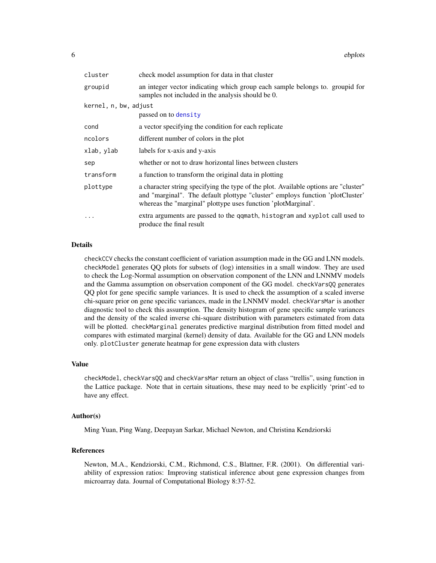<span id="page-5-0"></span>

| cluster               | check model assumption for data in that cluster                                                                                                                                                                                       |  |  |  |  |  |  |
|-----------------------|---------------------------------------------------------------------------------------------------------------------------------------------------------------------------------------------------------------------------------------|--|--|--|--|--|--|
| groupid               | an integer vector indicating which group each sample belongs to. groupid for<br>samples not included in the analysis should be 0.                                                                                                     |  |  |  |  |  |  |
| kernel, n, bw, adjust |                                                                                                                                                                                                                                       |  |  |  |  |  |  |
|                       | passed on to density                                                                                                                                                                                                                  |  |  |  |  |  |  |
| cond                  | a vector specifying the condition for each replicate                                                                                                                                                                                  |  |  |  |  |  |  |
| ncolors               | different number of colors in the plot                                                                                                                                                                                                |  |  |  |  |  |  |
| xlab, ylab            | labels for x-axis and y-axis                                                                                                                                                                                                          |  |  |  |  |  |  |
| sep                   | whether or not to draw horizontal lines between clusters                                                                                                                                                                              |  |  |  |  |  |  |
| transform             | a function to transform the original data in plotting                                                                                                                                                                                 |  |  |  |  |  |  |
| plottype              | a character string specifying the type of the plot. Available options are "cluster"<br>and "marginal". The default plottype "cluster" employs function 'plotCluster'<br>whereas the "marginal" plottype uses function 'plotMarginal'. |  |  |  |  |  |  |
| .                     | extra arguments are passed to the qqmath, histogram and xyplot call used to<br>produce the final result                                                                                                                               |  |  |  |  |  |  |

# **Details**

checkCCV checks the constant coefficient of variation assumption made in the GG and LNN models. checkModel generates QQ plots for subsets of (log) intensities in a small window. They are used to check the Log-Normal assumption on observation component of the LNN and LNNMV models and the Gamma assumption on observation component of the GG model. checkVarsQQ generates QQ plot for gene specific sample variances. It is used to check the assumption of a scaled inverse chi-square prior on gene specific variances, made in the LNNMV model. checkVarsMar is another diagnostic tool to check this assumption. The density histogram of gene specific sample variances and the density of the scaled inverse chi-square distribution with parameters estimated from data will be plotted. checkMarginal generates predictive marginal distribution from fitted model and compares with estimated marginal (kernel) density of data. Available for the GG and LNN models only. plotCluster generate heatmap for gene expression data with clusters

# Value

checkModel, checkVarsQQ and checkVarsMar return an object of class "trellis", using function in the Lattice package. Note that in certain situations, these may need to be explicitly 'print'-ed to have any effect.

#### Author(s)

Ming Yuan, Ping Wang, Deepayan Sarkar, Michael Newton, and Christina Kendziorski

# References

Newton, M.A., Kendziorski, C.M., Richmond, C.S., Blattner, F.R. (2001). On differential variability of expression ratios: Improving statistical inference about gene expression changes from microarray data. Journal of Computational Biology 8:37-52.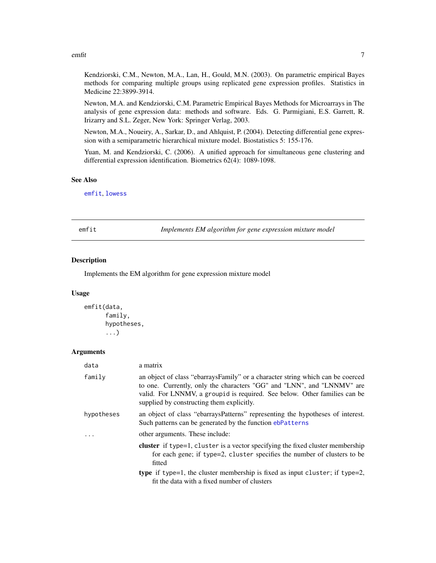#### <span id="page-6-0"></span>emfit 7

Kendziorski, C.M., Newton, M.A., Lan, H., Gould, M.N. (2003). On parametric empirical Bayes methods for comparing multiple groups using replicated gene expression profiles. Statistics in Medicine 22:3899-3914.

Newton, M.A. and Kendziorski, C.M. Parametric Empirical Bayes Methods for Microarrays in The analysis of gene expression data: methods and software. Eds. G. Parmigiani, E.S. Garrett, R. Irizarry and S.L. Zeger, New York: Springer Verlag, 2003.

Newton, M.A., Noueiry, A., Sarkar, D., and Ahlquist, P. (2004). Detecting differential gene expression with a semiparametric hierarchical mixture model. Biostatistics 5: 155-176.

Yuan, M. and Kendziorski, C. (2006). A unified approach for simultaneous gene clustering and differential expression identification. Biometrics 62(4): 1089-1098.

#### See Also

[emfit](#page-6-1), [lowess](#page-0-0)

<span id="page-6-1"></span>emfit *Implements EM algorithm for gene expression mixture model*

# Description

Implements the EM algorithm for gene expression mixture model

# Usage

```
emfit(data,
      family,
      hypotheses,
      ...)
```
# Arguments

| data       | a matrix                                                                                                                                                                                                                                                                             |
|------------|--------------------------------------------------------------------------------------------------------------------------------------------------------------------------------------------------------------------------------------------------------------------------------------|
| family     | an object of class "ebarrays Family" or a character string which can be coerced<br>to one. Currently, only the characters "GG" and "LNN", and "LNNMV" are<br>valid. For LNNMV, a group id is required. See below. Other families can be<br>supplied by constructing them explicitly. |
| hypotheses | an object of class "ebarraysPatterns" representing the hypotheses of interest.<br>Such patterns can be generated by the function ebPatterns                                                                                                                                          |
|            | other arguments. These include:                                                                                                                                                                                                                                                      |
|            | cluster if type=1, cluster is a vector specifying the fixed cluster membership<br>for each gene; if type=2, cluster specifies the number of clusters to be<br>fitted                                                                                                                 |
|            | <b>type</b> if type=1, the cluster membership is fixed as input cluster; if type=2,<br>fit the data with a fixed number of clusters                                                                                                                                                  |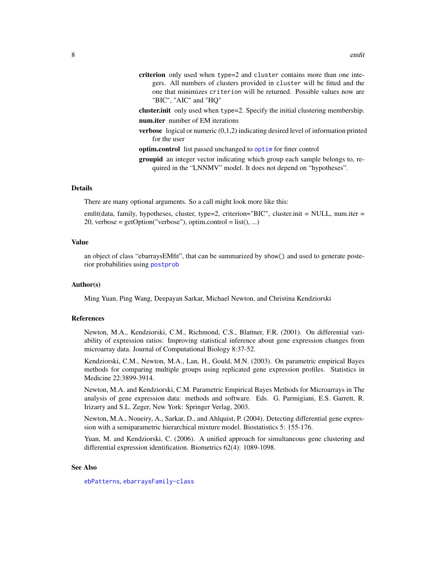- <span id="page-7-0"></span>criterion only used when type=2 and cluster contains more than one integers. All numbers of clusters provided in cluster will be fitted and the one that minimizes criterion will be returned. Possible values now are "BIC", "AIC" and "HQ"
- cluster.init only used when type=2. Specify the initial clustering membership. num.iter number of EM iterations
- verbose logical or numeric (0,1,2) indicating desired level of information printed for the user
- optim.control list passed unchanged to [optim](#page-0-0) for finer control
- groupid an integer vector indicating which group each sample belongs to, required in the "LNNMV" model. It does not depend on "hypotheses".

# Details

There are many optional arguments. So a call might look more like this:

emfit(data, family, hypotheses, cluster, type=2, criterion="BIC", cluster.init = NULL, num.iter =  $20$ , verbose = getOption("verbose"), optim.control = list(), ...)

# Value

an object of class "ebarraysEMfit", that can be summarized by show() and used to generate posterior probabilities using [postprob](#page-8-1)

#### Author(s)

Ming Yuan, Ping Wang, Deepayan Sarkar, Michael Newton, and Christina Kendziorski

#### References

Newton, M.A., Kendziorski, C.M., Richmond, C.S., Blattner, F.R. (2001). On differential variability of expression ratios: Improving statistical inference about gene expression changes from microarray data. Journal of Computational Biology 8:37-52.

Kendziorski, C.M., Newton, M.A., Lan, H., Gould, M.N. (2003). On parametric empirical Bayes methods for comparing multiple groups using replicated gene expression profiles. Statistics in Medicine 22:3899-3914.

Newton, M.A. and Kendziorski, C.M. Parametric Empirical Bayes Methods for Microarrays in The analysis of gene expression data: methods and software. Eds. G. Parmigiani, E.S. Garrett, R. Irizarry and S.L. Zeger, New York: Springer Verlag, 2003.

Newton, M.A., Noueiry, A., Sarkar, D., and Ahlquist, P. (2004). Detecting differential gene expression with a semiparametric hierarchical mixture model. Biostatistics 5: 155-176.

Yuan, M. and Kendziorski, C. (2006). A unified approach for simultaneous gene clustering and differential expression identification. Biometrics 62(4): 1089-1098.

# See Also

[ebPatterns](#page-10-1), [ebarraysFamily-class](#page-2-1)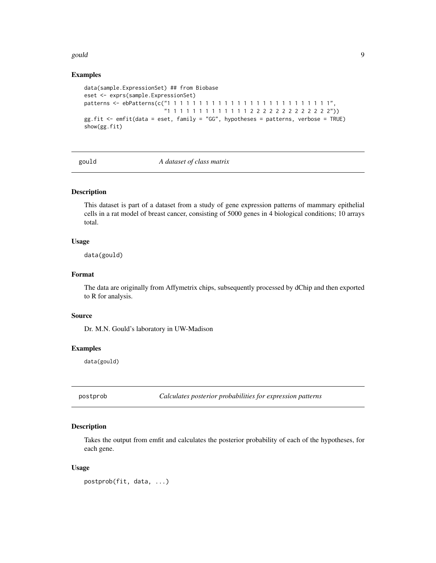#### <span id="page-8-0"></span>gould a set of the set of the set of the set of the set of the set of the set of the set of the set of the set

# Examples

```
data(sample.ExpressionSet) ## from Biobase
eset <- exprs(sample.ExpressionSet)
patterns <- ebPatterns(c("1 1 1 1 1 1 1 1 1 1 1 1 1 1 1 1 1 1 1 1 1 1 1 1 1 1",
                         "1 1 1 1 1 1 1 1 1 1 1 1 1 2 2 2 2 2 2 2 2 2 2 2 2 2"))
gg.fit <- emfit(data = eset, family = "GG", hypotheses = patterns, verbose = TRUE)
show(gg.fit)
```
gould *A dataset of class matrix*

# Description

This dataset is part of a dataset from a study of gene expression patterns of mammary epithelial cells in a rat model of breast cancer, consisting of 5000 genes in 4 biological conditions; 10 arrays total.

#### Usage

data(gould)

# Format

The data are originally from Affymetrix chips, subsequently processed by dChip and then exported to R for analysis.

#### Source

Dr. M.N. Gould's laboratory in UW-Madison

### Examples

data(gould)

<span id="page-8-1"></span>postprob *Calculates posterior probabilities for expression patterns*

# Description

Takes the output from emfit and calculates the posterior probability of each of the hypotheses, for each gene.

#### Usage

postprob(fit, data, ...)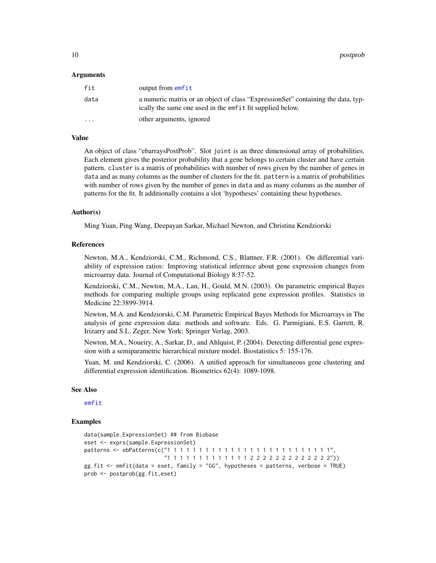<span id="page-9-0"></span>10 postprob

#### Arguments

| fit      | output from emfit                                                                                                                             |
|----------|-----------------------------------------------------------------------------------------------------------------------------------------------|
| data     | a numeric matrix or an object of class "ExpressionSet" containing the data, typ-<br>ically the same one used in the emfit fit supplied below. |
| $\cdots$ | other arguments, ignored                                                                                                                      |

# Value

An object of class "ebarraysPostProb". Slot joint is an three dimensional array of probabilities. Each element gives the posterior probability that a gene belongs to certain cluster and have certain pattern. cluster is a matrix of probabilities with number of rows given by the number of genes in data and as many columns as the number of clusters for the fit. pattern is a matrix of probabilities with number of rows given by the number of genes in data and as many columns as the number of patterns for the fit. It additionally contains a slot 'hypotheses' containing these hypotheses.

#### Author(s)

Ming Yuan, Ping Wang, Deepayan Sarkar, Michael Newton, and Christina Kendziorski

#### References

Newton, M.A., Kendziorski, C.M., Richmond, C.S., Blattner, F.R. (2001). On differential variability of expression ratios: Improving statistical inference about gene expression changes from microarray data. Journal of Computational Biology 8:37-52.

Kendziorski, C.M., Newton, M.A., Lan, H., Gould, M.N. (2003). On parametric empirical Bayes methods for comparing multiple groups using replicated gene expression profiles. Statistics in Medicine 22:3899-3914.

Newton, M.A. and Kendziorski, C.M. Parametric Empirical Bayes Methods for Microarrays in The analysis of gene expression data: methods and software. Eds. G. Parmigiani, E.S. Garrett, R. Irizarry and S.L. Zeger, New York: Springer Verlag, 2003.

Newton, M.A., Noueiry, A., Sarkar, D., and Ahlquist, P. (2004). Detecting differential gene expression with a semiparametric hierarchical mixture model. Biostatistics 5: 155-176.

Yuan, M. and Kendziorski, C. (2006). A unified approach for simultaneous gene clustering and differential expression identification. Biometrics 62(4): 1089-1098.

#### See Also

[emfit](#page-6-1)

# Examples

```
data(sample.ExpressionSet) ## from Biobase
eset <- exprs(sample.ExpressionSet)
patterns <- ebPatterns(c("1 1 1 1 1 1 1 1 1 1 1 1 1 1 1 1 1 1 1 1 1 1 1 1 1 1",
                         "1 1 1 1 1 1 1 1 1 1 1 1 1 2 2 2 2 2 2 2 2 2 2 2 2 2"))
gg.fit <- emfit(data = eset, family = "GG", hypotheses = patterns, verbose = TRUE)
prob <- postprob(gg.fit,eset)
```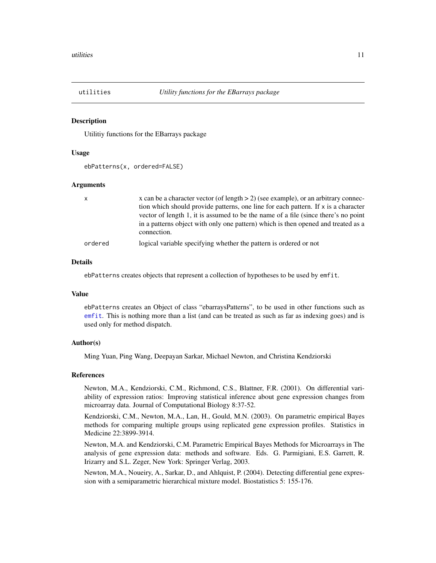<span id="page-10-0"></span>

#### <span id="page-10-1"></span>**Description**

Utilitiy functions for the EBarrays package

#### Usage

ebPatterns(x, ordered=FALSE)

#### Arguments

| $\mathsf{X}$ | x can be a character vector (of length $> 2$ ) (see example), or an arbitrary connec- |
|--------------|---------------------------------------------------------------------------------------|
|              | tion which should provide patterns, one line for each pattern. If x is a character    |
|              | vector of length 1, it is assumed to be the name of a file (since there's no point    |
|              | in a patterns object with only one pattern) which is then opened and treated as a     |
|              | connection.                                                                           |
| ordered      | logical variable specifying whether the pattern is ordered or not                     |

# Details

ebPatterns creates objects that represent a collection of hypotheses to be used by emfit.

#### Value

ebPatterns creates an Object of class "ebarraysPatterns", to be used in other functions such as [emfit](#page-6-1). This is nothing more than a list (and can be treated as such as far as indexing goes) and is used only for method dispatch.

# Author(s)

Ming Yuan, Ping Wang, Deepayan Sarkar, Michael Newton, and Christina Kendziorski

#### References

Newton, M.A., Kendziorski, C.M., Richmond, C.S., Blattner, F.R. (2001). On differential variability of expression ratios: Improving statistical inference about gene expression changes from microarray data. Journal of Computational Biology 8:37-52.

Kendziorski, C.M., Newton, M.A., Lan, H., Gould, M.N. (2003). On parametric empirical Bayes methods for comparing multiple groups using replicated gene expression profiles. Statistics in Medicine 22:3899-3914.

Newton, M.A. and Kendziorski, C.M. Parametric Empirical Bayes Methods for Microarrays in The analysis of gene expression data: methods and software. Eds. G. Parmigiani, E.S. Garrett, R. Irizarry and S.L. Zeger, New York: Springer Verlag, 2003.

Newton, M.A., Noueiry, A., Sarkar, D., and Ahlquist, P. (2004). Detecting differential gene expression with a semiparametric hierarchical mixture model. Biostatistics 5: 155-176.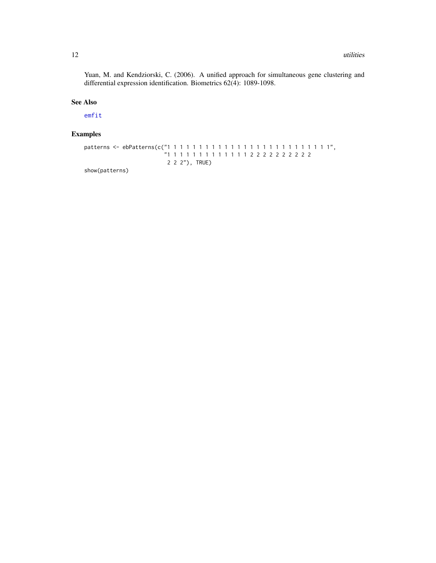<span id="page-11-0"></span>Yuan, M. and Kendziorski, C. (2006). A unified approach for simultaneous gene clustering and differential expression identification. Biometrics 62(4): 1089-1098.

# See Also

[emfit](#page-6-1)

# Examples

```
patterns <- ebPatterns(c("1 1 1 1 1 1 1 1 1 1 1 1 1 1 1 1 1 1 1 1 1 1 1 1 1 1",
                         "1 1 1 1 1 1 1 1 1 1 1 1 1 2 2 2 2 2 2 2 2 2 2
                          2 2 2"), TRUE)
```
show(patterns)